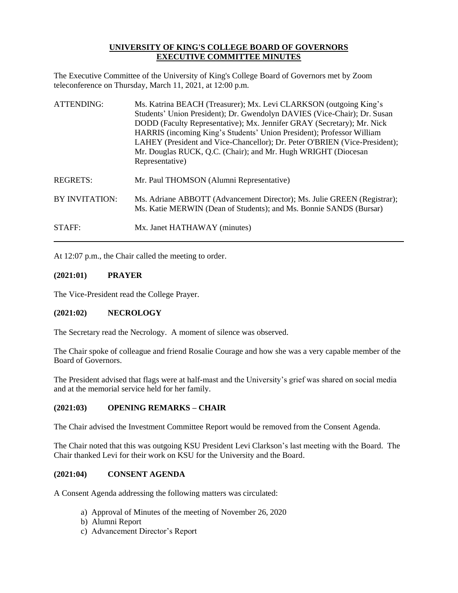# **UNIVERSITY OF KING'S COLLEGE BOARD OF GOVERNORS EXECUTIVE COMMITTEE MINUTES**

The Executive Committee of the University of King's College Board of Governors met by Zoom teleconference on Thursday, March 11, 2021, at 12:00 p.m.

| ATTENDING:     | Ms. Katrina BEACH (Treasurer); Mx. Levi CLARKSON (outgoing King's<br>Students' Union President); Dr. Gwendolyn DAVIES (Vice-Chair); Dr. Susan<br>DODD (Faculty Representative); Mx. Jennifer GRAY (Secretary); Mr. Nick<br>HARRIS (incoming King's Students' Union President); Professor William<br>LAHEY (President and Vice-Chancellor); Dr. Peter O'BRIEN (Vice-President);<br>Mr. Douglas RUCK, Q.C. (Chair); and Mr. Hugh WRIGHT (Diocesan<br>Representative) |
|----------------|--------------------------------------------------------------------------------------------------------------------------------------------------------------------------------------------------------------------------------------------------------------------------------------------------------------------------------------------------------------------------------------------------------------------------------------------------------------------|
| REGRETS:       | Mr. Paul THOMSON (Alumni Representative)                                                                                                                                                                                                                                                                                                                                                                                                                           |
| BY INVITATION: | Ms. Adriane ABBOTT (Advancement Director); Ms. Julie GREEN (Registrar);<br>Ms. Katie MERWIN (Dean of Students); and Ms. Bonnie SANDS (Bursar)                                                                                                                                                                                                                                                                                                                      |
| STAFF:         | Mx. Janet HATHAWAY (minutes)                                                                                                                                                                                                                                                                                                                                                                                                                                       |

At 12:07 p.m., the Chair called the meeting to order.

### **(2021:01) PRAYER**

The Vice-President read the College Prayer.

# **(2021:02) NECROLOGY**

The Secretary read the Necrology. A moment of silence was observed.

The Chair spoke of colleague and friend Rosalie Courage and how she was a very capable member of the Board of Governors.

The President advised that flags were at half-mast and the University's grief was shared on social media and at the memorial service held for her family.

## **(2021:03) OPENING REMARKS – CHAIR**

The Chair advised the Investment Committee Report would be removed from the Consent Agenda.

The Chair noted that this was outgoing KSU President Levi Clarkson's last meeting with the Board. The Chair thanked Levi for their work on KSU for the University and the Board.

#### **(2021:04) CONSENT AGENDA**

A Consent Agenda addressing the following matters was circulated:

- a) Approval of Minutes of the meeting of November 26, 2020
- b) Alumni Report
- c) Advancement Director's Report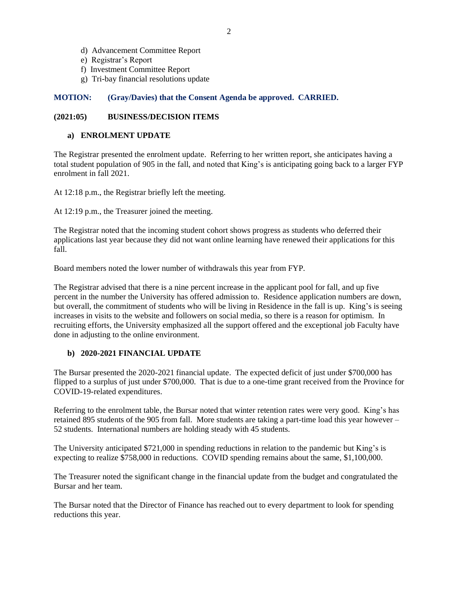- d) Advancement Committee Report
- e) Registrar's Report
- f) Investment Committee Report
- g) Tri-bay financial resolutions update

# **MOTION: (Gray/Davies) that the Consent Agenda be approved. CARRIED.**

# **(2021:05) BUSINESS/DECISION ITEMS**

# **a) ENROLMENT UPDATE**

The Registrar presented the enrolment update. Referring to her written report, she anticipates having a total student population of 905 in the fall, and noted that King's is anticipating going back to a larger FYP enrolment in fall 2021.

At 12:18 p.m., the Registrar briefly left the meeting.

At 12:19 p.m., the Treasurer joined the meeting.

The Registrar noted that the incoming student cohort shows progress as students who deferred their applications last year because they did not want online learning have renewed their applications for this fall.

Board members noted the lower number of withdrawals this year from FYP.

The Registrar advised that there is a nine percent increase in the applicant pool for fall, and up five percent in the number the University has offered admission to. Residence application numbers are down, but overall, the commitment of students who will be living in Residence in the fall is up. King's is seeing increases in visits to the website and followers on social media, so there is a reason for optimism. In recruiting efforts, the University emphasized all the support offered and the exceptional job Faculty have done in adjusting to the online environment.

## **b) 2020-2021 FINANCIAL UPDATE**

The Bursar presented the 2020-2021 financial update. The expected deficit of just under \$700,000 has flipped to a surplus of just under \$700,000. That is due to a one-time grant received from the Province for COVID-19-related expenditures.

Referring to the enrolment table, the Bursar noted that winter retention rates were very good. King's has retained 895 students of the 905 from fall. More students are taking a part-time load this year however – 52 students. International numbers are holding steady with 45 students.

The University anticipated \$721,000 in spending reductions in relation to the pandemic but King's is expecting to realize \$758,000 in reductions. COVID spending remains about the same, \$1,100,000.

The Treasurer noted the significant change in the financial update from the budget and congratulated the Bursar and her team.

The Bursar noted that the Director of Finance has reached out to every department to look for spending reductions this year.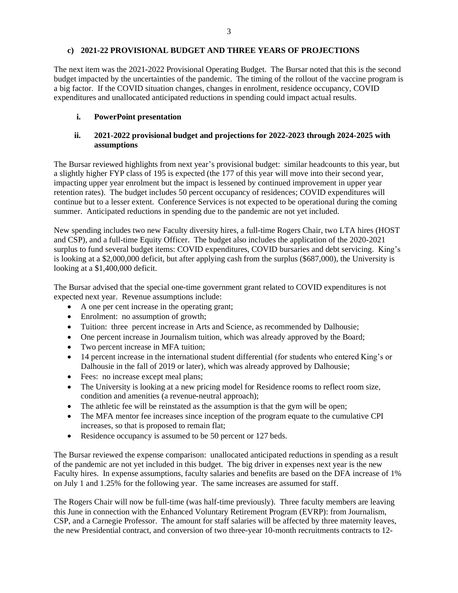### **c) 2021-22 PROVISIONAL BUDGET AND THREE YEARS OF PROJECTIONS**

The next item was the 2021-2022 Provisional Operating Budget. The Bursar noted that this is the second budget impacted by the uncertainties of the pandemic. The timing of the rollout of the vaccine program is a big factor. If the COVID situation changes, changes in enrolment, residence occupancy, COVID expenditures and unallocated anticipated reductions in spending could impact actual results.

### **i. PowerPoint presentation**

# **ii. 2021-2022 provisional budget and projections for 2022-2023 through 2024-2025 with assumptions**

The Bursar reviewed highlights from next year's provisional budget: similar headcounts to this year, but a slightly higher FYP class of 195 is expected (the 177 of this year will move into their second year, impacting upper year enrolment but the impact is lessened by continued improvement in upper year retention rates). The budget includes 50 percent occupancy of residences; COVID expenditures will continue but to a lesser extent. Conference Services is not expected to be operational during the coming summer. Anticipated reductions in spending due to the pandemic are not yet included.

New spending includes two new Faculty diversity hires, a full-time Rogers Chair, two LTA hires (HOST and CSP), and a full-time Equity Officer. The budget also includes the application of the 2020-2021 surplus to fund several budget items: COVID expenditures, COVID bursaries and debt servicing. King's is looking at a \$2,000,000 deficit, but after applying cash from the surplus (\$687,000), the University is looking at a \$1,400,000 deficit.

The Bursar advised that the special one-time government grant related to COVID expenditures is not expected next year. Revenue assumptions include:

- A one per cent increase in the operating grant;
- Enrolment: no assumption of growth;
- Tuition: three percent increase in Arts and Science, as recommended by Dalhousie;
- One percent increase in Journalism tuition, which was already approved by the Board;
- Two percent increase in MFA tuition;
- 14 percent increase in the international student differential (for students who entered King's or Dalhousie in the fall of 2019 or later), which was already approved by Dalhousie;
- Fees: no increase except meal plans;
- The University is looking at a new pricing model for Residence rooms to reflect room size, condition and amenities (a revenue-neutral approach);
- The athletic fee will be reinstated as the assumption is that the gym will be open;
- The MFA mentor fee increases since inception of the program equate to the cumulative CPI increases, so that is proposed to remain flat;
- Residence occupancy is assumed to be 50 percent or 127 beds.

The Bursar reviewed the expense comparison: unallocated anticipated reductions in spending as a result of the pandemic are not yet included in this budget. The big driver in expenses next year is the new Faculty hires. In expense assumptions, faculty salaries and benefits are based on the DFA increase of 1% on July 1 and 1.25% for the following year. The same increases are assumed for staff.

The Rogers Chair will now be full-time (was half-time previously). Three faculty members are leaving this June in connection with the Enhanced Voluntary Retirement Program (EVRP): from Journalism, CSP, and a Carnegie Professor. The amount for staff salaries will be affected by three maternity leaves, the new Presidential contract, and conversion of two three-year 10-month recruitments contracts to 12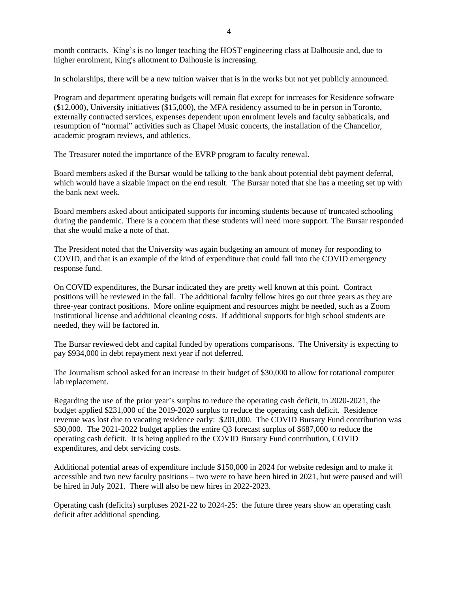month contracts. King's is no longer teaching the HOST engineering class at Dalhousie and, due to higher enrolment, King's allotment to Dalhousie is increasing.

In scholarships, there will be a new tuition waiver that is in the works but not yet publicly announced.

Program and department operating budgets will remain flat except for increases for Residence software (\$12,000), University initiatives (\$15,000), the MFA residency assumed to be in person in Toronto, externally contracted services, expenses dependent upon enrolment levels and faculty sabbaticals, and resumption of "normal" activities such as Chapel Music concerts, the installation of the Chancellor, academic program reviews, and athletics.

The Treasurer noted the importance of the EVRP program to faculty renewal.

Board members asked if the Bursar would be talking to the bank about potential debt payment deferral, which would have a sizable impact on the end result. The Bursar noted that she has a meeting set up with the bank next week.

Board members asked about anticipated supports for incoming students because of truncated schooling during the pandemic. There is a concern that these students will need more support. The Bursar responded that she would make a note of that.

The President noted that the University was again budgeting an amount of money for responding to COVID, and that is an example of the kind of expenditure that could fall into the COVID emergency response fund.

On COVID expenditures, the Bursar indicated they are pretty well known at this point. Contract positions will be reviewed in the fall. The additional faculty fellow hires go out three years as they are three-year contract positions. More online equipment and resources might be needed, such as a Zoom institutional license and additional cleaning costs. If additional supports for high school students are needed, they will be factored in.

The Bursar reviewed debt and capital funded by operations comparisons. The University is expecting to pay \$934,000 in debt repayment next year if not deferred.

The Journalism school asked for an increase in their budget of \$30,000 to allow for rotational computer lab replacement.

Regarding the use of the prior year's surplus to reduce the operating cash deficit, in 2020-2021, the budget applied \$231,000 of the 2019-2020 surplus to reduce the operating cash deficit. Residence revenue was lost due to vacating residence early: \$201,000. The COVID Bursary Fund contribution was \$30,000. The 2021-2022 budget applies the entire Q3 forecast surplus of \$687,000 to reduce the operating cash deficit. It is being applied to the COVID Bursary Fund contribution, COVID expenditures, and debt servicing costs.

Additional potential areas of expenditure include \$150,000 in 2024 for website redesign and to make it accessible and two new faculty positions – two were to have been hired in 2021, but were paused and will be hired in July 2021. There will also be new hires in 2022-2023.

Operating cash (deficits) surpluses 2021-22 to 2024-25: the future three years show an operating cash deficit after additional spending.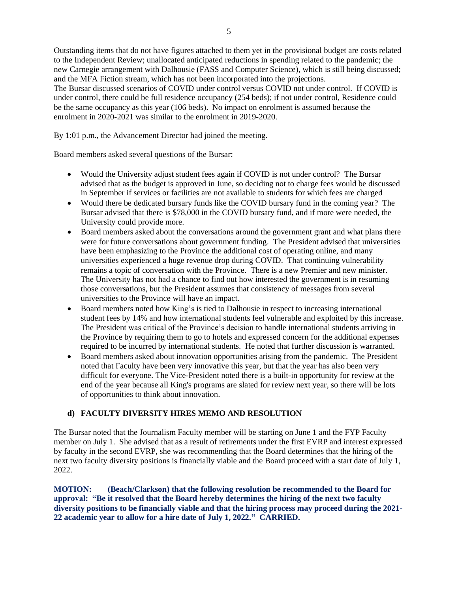Outstanding items that do not have figures attached to them yet in the provisional budget are costs related to the Independent Review; unallocated anticipated reductions in spending related to the pandemic; the new Carnegie arrangement with Dalhousie (FASS and Computer Science), which is still being discussed; and the MFA Fiction stream, which has not been incorporated into the projections.

The Bursar discussed scenarios of COVID under control versus COVID not under control. If COVID is under control, there could be full residence occupancy (254 beds); if not under control, Residence could be the same occupancy as this year (106 beds). No impact on enrolment is assumed because the enrolment in 2020-2021 was similar to the enrolment in 2019-2020.

By 1:01 p.m., the Advancement Director had joined the meeting.

Board members asked several questions of the Bursar:

- Would the University adjust student fees again if COVID is not under control? The Bursar advised that as the budget is approved in June, so deciding not to charge fees would be discussed in September if services or facilities are not available to students for which fees are charged
- Would there be dedicated bursary funds like the COVID bursary fund in the coming year? The Bursar advised that there is \$78,000 in the COVID bursary fund, and if more were needed, the University could provide more.
- Board members asked about the conversations around the government grant and what plans there were for future conversations about government funding. The President advised that universities have been emphasizing to the Province the additional cost of operating online, and many universities experienced a huge revenue drop during COVID. That continuing vulnerability remains a topic of conversation with the Province. There is a new Premier and new minister. The University has not had a chance to find out how interested the government is in resuming those conversations, but the President assumes that consistency of messages from several universities to the Province will have an impact.
- Board members noted how King's is tied to Dalhousie in respect to increasing international student fees by 14% and how international students feel vulnerable and exploited by this increase. The President was critical of the Province's decision to handle international students arriving in the Province by requiring them to go to hotels and expressed concern for the additional expenses required to be incurred by international students. He noted that further discussion is warranted.
- Board members asked about innovation opportunities arising from the pandemic. The President noted that Faculty have been very innovative this year, but that the year has also been very difficult for everyone. The Vice-President noted there is a built-in opportunity for review at the end of the year because all King's programs are slated for review next year, so there will be lots of opportunities to think about innovation.

# **d) FACULTY DIVERSITY HIRES MEMO AND RESOLUTION**

The Bursar noted that the Journalism Faculty member will be starting on June 1 and the FYP Faculty member on July 1. She advised that as a result of retirements under the first EVRP and interest expressed by faculty in the second EVRP, she was recommending that the Board determines that the hiring of the next two faculty diversity positions is financially viable and the Board proceed with a start date of July 1, 2022.

**MOTION: (Beach/Clarkson) that the following resolution be recommended to the Board for approval: "Be it resolved that the Board hereby determines the hiring of the next two faculty diversity positions to be financially viable and that the hiring process may proceed during the 2021- 22 academic year to allow for a hire date of July 1, 2022." CARRIED.**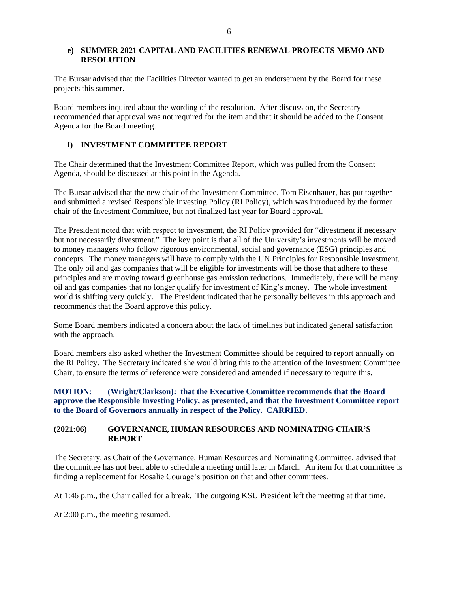## **e) SUMMER 2021 CAPITAL AND FACILITIES RENEWAL PROJECTS MEMO AND RESOLUTION**

The Bursar advised that the Facilities Director wanted to get an endorsement by the Board for these projects this summer.

Board members inquired about the wording of the resolution. After discussion, the Secretary recommended that approval was not required for the item and that it should be added to the Consent Agenda for the Board meeting.

# **f) INVESTMENT COMMITTEE REPORT**

The Chair determined that the Investment Committee Report, which was pulled from the Consent Agenda, should be discussed at this point in the Agenda.

The Bursar advised that the new chair of the Investment Committee, Tom Eisenhauer, has put together and submitted a revised Responsible Investing Policy (RI Policy), which was introduced by the former chair of the Investment Committee, but not finalized last year for Board approval.

The President noted that with respect to investment, the RI Policy provided for "divestment if necessary but not necessarily divestment." The key point is that all of the University's investments will be moved to money managers who follow rigorous environmental, social and governance (ESG) principles and concepts. The money managers will have to comply with the UN Principles for Responsible Investment. The only oil and gas companies that will be eligible for investments will be those that adhere to these principles and are moving toward greenhouse gas emission reductions. Immediately, there will be many oil and gas companies that no longer qualify for investment of King's money. The whole investment world is shifting very quickly. The President indicated that he personally believes in this approach and recommends that the Board approve this policy.

Some Board members indicated a concern about the lack of timelines but indicated general satisfaction with the approach.

Board members also asked whether the Investment Committee should be required to report annually on the RI Policy. The Secretary indicated she would bring this to the attention of the Investment Committee Chair, to ensure the terms of reference were considered and amended if necessary to require this.

**MOTION: (Wright/Clarkson): that the Executive Committee recommends that the Board approve the Responsible Investing Policy, as presented, and that the Investment Committee report to the Board of Governors annually in respect of the Policy. CARRIED.**

#### **(2021:06) GOVERNANCE, HUMAN RESOURCES AND NOMINATING CHAIR'S REPORT**

The Secretary, as Chair of the Governance, Human Resources and Nominating Committee, advised that the committee has not been able to schedule a meeting until later in March. An item for that committee is finding a replacement for Rosalie Courage's position on that and other committees.

At 1:46 p.m., the Chair called for a break. The outgoing KSU President left the meeting at that time.

At 2:00 p.m., the meeting resumed.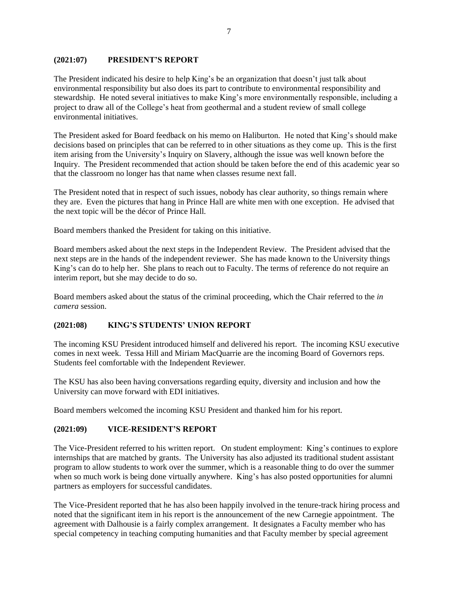## **(2021:07) PRESIDENT'S REPORT**

The President indicated his desire to help King's be an organization that doesn't just talk about environmental responsibility but also does its part to contribute to environmental responsibility and stewardship. He noted several initiatives to make King's more environmentally responsible, including a project to draw all of the College's heat from geothermal and a student review of small college environmental initiatives.

The President asked for Board feedback on his memo on Haliburton. He noted that King's should make decisions based on principles that can be referred to in other situations as they come up. This is the first item arising from the University's Inquiry on Slavery, although the issue was well known before the Inquiry. The President recommended that action should be taken before the end of this academic year so that the classroom no longer has that name when classes resume next fall.

The President noted that in respect of such issues, nobody has clear authority, so things remain where they are. Even the pictures that hang in Prince Hall are white men with one exception. He advised that the next topic will be the décor of Prince Hall.

Board members thanked the President for taking on this initiative.

Board members asked about the next steps in the Independent Review. The President advised that the next steps are in the hands of the independent reviewer. She has made known to the University things King's can do to help her. She plans to reach out to Faculty. The terms of reference do not require an interim report, but she may decide to do so.

Board members asked about the status of the criminal proceeding, which the Chair referred to the *in camera* session.

## **(2021:08) KING'S STUDENTS' UNION REPORT**

The incoming KSU President introduced himself and delivered his report. The incoming KSU executive comes in next week. Tessa Hill and Miriam MacQuarrie are the incoming Board of Governors reps. Students feel comfortable with the Independent Reviewer.

The KSU has also been having conversations regarding equity, diversity and inclusion and how the University can move forward with EDI initiatives.

Board members welcomed the incoming KSU President and thanked him for his report.

## **(2021:09) VICE-RESIDENT'S REPORT**

The Vice-President referred to his written report. On student employment: King's continues to explore internships that are matched by grants. The University has also adjusted its traditional student assistant program to allow students to work over the summer, which is a reasonable thing to do over the summer when so much work is being done virtually anywhere. King's has also posted opportunities for alumni partners as employers for successful candidates.

The Vice-President reported that he has also been happily involved in the tenure-track hiring process and noted that the significant item in his report is the announcement of the new Carnegie appointment. The agreement with Dalhousie is a fairly complex arrangement. It designates a Faculty member who has special competency in teaching computing humanities and that Faculty member by special agreement